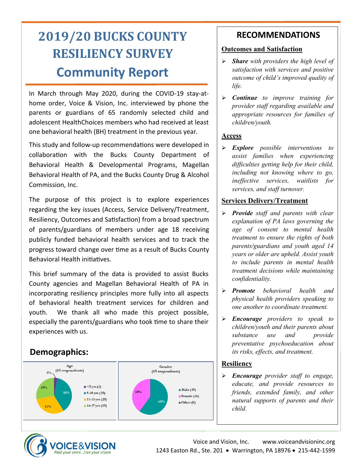# **2019/20 BUCKS COUNTY RESILIENCY SURVEY Community Report**

In March through May 2020, during the COVID-19 stay-athome order, Voice & Vision, Inc. interviewed by phone the parents or guardians of 65 randomly selected child and adolescent HealthChoices members who had received at least one behavioral health (BH) treatment in the previous year.

This study and follow-up recommendations were developed in collaboration with the Bucks County Department of Behavioral Health & Developmental Programs, Magellan Behavioral Health of PA, and the Bucks County Drug & Alcohol Commission, Inc.

The purpose of this project is to explore experiences regarding the key issues (Access, Service Delivery/Treatment, Resiliency, Outcomes and Satisfaction) from a broad spectrum of parents/guardians of members under age 18 receiving publicly funded behavioral health services and to track the progress toward change over time as a result of Bucks County Behavioral Health initiatives.

This brief summary of the data is provided to assist Bucks County agencies and Magellan Behavioral Health of PA in incorporating resiliency principles more fully into all aspects of behavioral health treatment services for children and youth. We thank all who made this project possible, especially the parents/guardians who took time to share their experiences with us.

# **Demographics:**



## **RECOMMENDATIONS**

#### **Outcomes and Satisfaction**

- ➢ *Share with providers the high level of satisfaction with services and positive outcome of child's improved quality of life.*
- ➢ *Continue to improve training for provider staff regarding available and appropriate resources for families of children/youth.*

#### **Access**

➢ *Explore possible interventions to assist families when experiencing difficulties getting help for their child, including not knowing where to go, ineffective services, waitlists for services, and staff turnover.*

### **Services Delivery/Treatment**

- ➢ *Provide staff and parents with clear explanation of PA laws governing the age of consent to mental health treatment to ensure the rights of both parents/guardians and youth aged 14 years or older are upheld. Assist youth to include parents in mental health treatment decisions while maintaining confidentiality.*
- ➢ *Promote behavioral health and physical health providers speaking to one another to coordinate treatment.*
- ➢ *Encourage providers to speak to children/youth and their parents about substance use and provide preventative psychoeducation about its risks, effects, and treatment.*

### **Resiliency**

➢ *Encourage provider staff to engage, educate, and provide resources to friends, extended family, and other natural supports of parents and their child.*

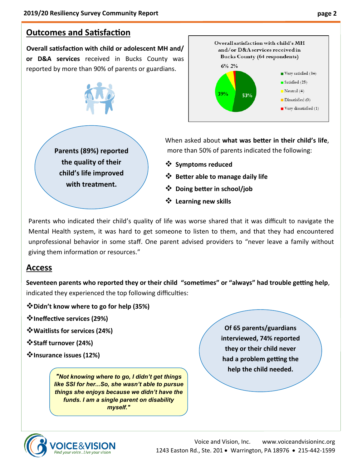# **Outcomes and Satisfaction**

**Overall satisfaction with child or adolescent MH and/ or D&A services** received in Bucks County was reported by more than 90% of parents or guardians.





**Parents (89%) reported the quality of their child's life improved with treatment.**

When asked about **what was better in their child's life**, more than 50% of parents indicated the following:

- ❖ **Symptoms reduced**
- ❖ **Better able to manage daily life**
- ❖ **Doing better in school/job**
- ❖ **Learning new skills**

Parents who indicated their child's quality of life was worse shared that it was difficult to navigate the Mental Health system, it was hard to get someone to listen to them, and that they had encountered unprofessional behavior in some staff. One parent advised providers to "never leave a family without giving them information or resources."

### **Access**

**Seventeen parents who reported they or their child "sometimes" or "always" had trouble getting help**, indicated they experienced the top following difficulties:

❖**Didn't know where to go for help (35%)**

❖**Ineffective services (29%)**

❖**Waitlists for services (24%)**

❖**Staff turnover (24%)**

❖**Insurance issues (12%)**

*"Not knowing where to go, I didn't get things like SSI for her...So, she wasn't able to pursue things she enjoys because we didn't have the funds. I am a single parent on disability myself."*

**Of 65 parents/guardians interviewed, 74% reported they or their child never had a problem getting the help the child needed.**



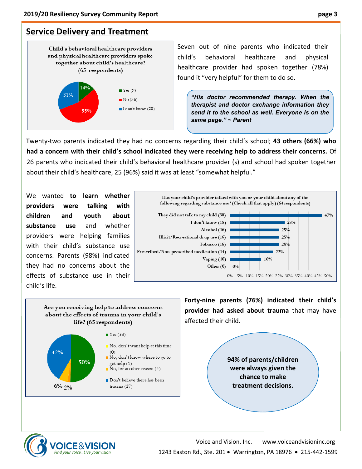# **Service Delivery and Treatment**



Seven out of nine parents who indicated their child's behavioral healthcare and physical healthcare provider had spoken together (78%) found it "very helpful" for them to do so.

*"His doctor recommended therapy. When the therapist and doctor exchange information they send it to the school as well. Everyone is on the same page." ~ Parent*

Twenty-two parents indicated they had no concerns regarding their child's school; **43 others (66%) who had a concern with their child's school indicated they were receiving help to address their concerns.** Of 26 parents who indicated their child's behavioral healthcare provider (s) and school had spoken together about their child's healthcare, 25 (96%) said it was at least "somewhat helpful."

We wanted **to learn whether providers were talking with children and youth about substance use** and whether providers were helping families with their child's substance use concerns. Parents (98%) indicated they had no concerns about the effects of substance use in their child's life.



Are you receiving help to address concerns about the effects of trauma in your child's life? (65 respondents)



**Forty-nine parents (76%) indicated their child's provider had asked about trauma** that may have affected their child.

> **94% of parents/children were always given the chance to make treatment decisions.**



Voice and Vision, Inc. www.voiceandvisioninc.org 1243 Easton Rd., Ste. 201 • Warrington, PA 18976 • 215-442-1599